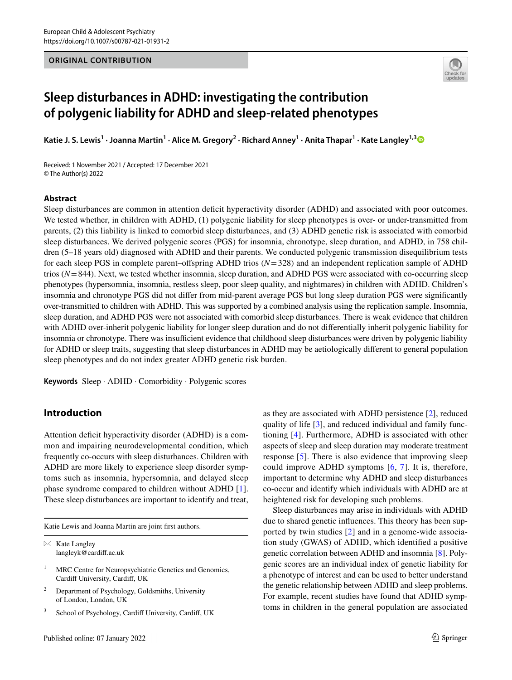## **ORIGINAL CONTRIBUTION**



# **Sleep disturbances in ADHD: investigating the contribution of polygenic liability for ADHD and sleep‑related phenotypes**

Katie J. S. Lewis<sup>1</sup> · Joanna Martin<sup>1</sup> · Alice M. Gregory<sup>2</sup> · Richard Anney<sup>1</sup> · Anita Thapar<sup>1</sup> · Kate Langley<sup>1,[3](http://orcid.org/0000-0002-2033-2657)</sup>

Received: 1 November 2021 / Accepted: 17 December 2021 © The Author(s) 2022

### **Abstract**

Sleep disturbances are common in attention defcit hyperactivity disorder (ADHD) and associated with poor outcomes. We tested whether, in children with ADHD, (1) polygenic liability for sleep phenotypes is over- or under-transmitted from parents, (2) this liability is linked to comorbid sleep disturbances, and (3) ADHD genetic risk is associated with comorbid sleep disturbances. We derived polygenic scores (PGS) for insomnia, chronotype, sleep duration, and ADHD, in 758 children (5–18 years old) diagnosed with ADHD and their parents. We conducted polygenic transmission disequilibrium tests for each sleep PGS in complete parent–ofspring ADHD trios (*N*=328) and an independent replication sample of ADHD trios (*N*=844). Next, we tested whether insomnia, sleep duration, and ADHD PGS were associated with co-occurring sleep phenotypes (hypersomnia, insomnia, restless sleep, poor sleep quality, and nightmares) in children with ADHD. Children's insomnia and chronotype PGS did not difer from mid-parent average PGS but long sleep duration PGS were signifcantly over-transmitted to children with ADHD. This was supported by a combined analysis using the replication sample. Insomnia, sleep duration, and ADHD PGS were not associated with comorbid sleep disturbances. There is weak evidence that children with ADHD over-inherit polygenic liability for longer sleep duration and do not diferentially inherit polygenic liability for insomnia or chronotype. There was insufficient evidence that childhood sleep disturbances were driven by polygenic liability for ADHD or sleep traits, suggesting that sleep disturbances in ADHD may be aetiologically diferent to general population sleep phenotypes and do not index greater ADHD genetic risk burden.

**Keywords** Sleep · ADHD · Comorbidity · Polygenic scores

## **Introduction**

Attention deficit hyperactivity disorder (ADHD) is a common and impairing neurodevelopmental condition, which frequently co-occurs with sleep disturbances. Children with ADHD are more likely to experience sleep disorder symptoms such as insomnia, hypersomnia, and delayed sleep phase syndrome compared to children without ADHD [[1](#page-7-0)]. These sleep disturbances are important to identify and treat,

Katie Lewis and Joanna Martin are joint frst authors.

- <sup>1</sup> MRC Centre for Neuropsychiatric Genetics and Genomics, Cardiff University, Cardiff, UK
- <sup>2</sup> Department of Psychology, Goldsmiths, University of London, London, UK
- School of Psychology, Cardiff University, Cardiff, UK

as they are associated with ADHD persistence [[2\]](#page-7-1), reduced quality of life [\[3](#page-7-2)], and reduced individual and family functioning [[4](#page-7-3)]. Furthermore, ADHD is associated with other aspects of sleep and sleep duration may moderate treatment response [[5\]](#page-7-4). There is also evidence that improving sleep could improve ADHD symptoms [[6](#page-7-5), [7\]](#page-7-6). It is, therefore, important to determine why ADHD and sleep disturbances co-occur and identify which individuals with ADHD are at heightened risk for developing such problems.

Sleep disturbances may arise in individuals with ADHD due to shared genetic infuences. This theory has been supported by twin studies [[2\]](#page-7-1) and in a genome-wide association study (GWAS) of ADHD, which identifed a positive genetic correlation between ADHD and insomnia [[8\]](#page-7-7). Polygenic scores are an individual index of genetic liability for a phenotype of interest and can be used to better understand the genetic relationship between ADHD and sleep problems. For example, recent studies have found that ADHD symptoms in children in the general population are associated

 $\boxtimes$  Kate Langley langleyk@cardif.ac.uk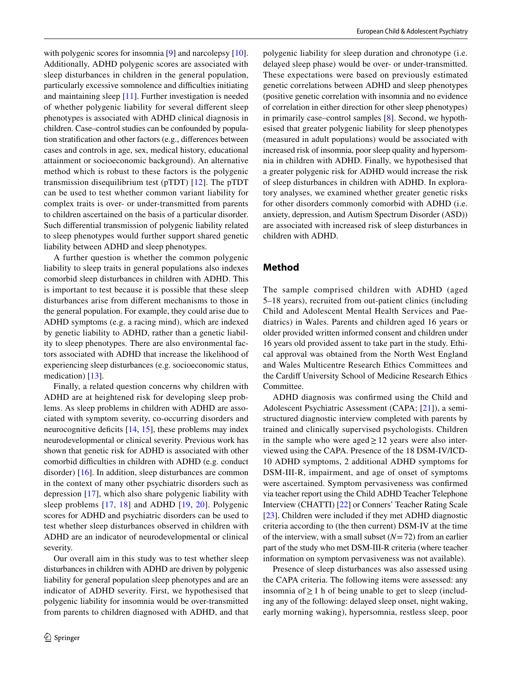with polygenic scores for insomnia [\[9](#page-7-8)] and narcolepsy [\[10](#page-7-9)]. Additionally, ADHD polygenic scores are associated with sleep disturbances in children in the general population, particularly excessive somnolence and difficulties initiating and maintaining sleep [[11\]](#page-7-10). Further investigation is needed of whether polygenic liability for several diferent sleep phenotypes is associated with ADHD clinical diagnosis in children. Case–control studies can be confounded by population stratifcation and other factors (e.g., diferences between cases and controls in age, sex, medical history, educational attainment or socioeconomic background). An alternative method which is robust to these factors is the polygenic transmission disequilibrium test (pTDT) [[12](#page-7-11)]. The pTDT can be used to test whether common variant liability for complex traits is over- or under-transmitted from parents to children ascertained on the basis of a particular disorder. Such diferential transmission of polygenic liability related to sleep phenotypes would further support shared genetic liability between ADHD and sleep phenotypes.

A further question is whether the common polygenic liability to sleep traits in general populations also indexes comorbid sleep disturbances in children with ADHD. This is important to test because it is possible that these sleep disturbances arise from diferent mechanisms to those in the general population. For example, they could arise due to ADHD symptoms (e.g. a racing mind), which are indexed by genetic liability to ADHD, rather than a genetic liability to sleep phenotypes. There are also environmental factors associated with ADHD that increase the likelihood of experiencing sleep disturbances (e.g. socioeconomic status, medication) [\[13](#page-7-12)].

Finally, a related question concerns why children with ADHD are at heightened risk for developing sleep problems. As sleep problems in children with ADHD are associated with symptom severity, co-occurring disorders and neurocognitive deficits  $[14, 15]$  $[14, 15]$  $[14, 15]$ , these problems may index neurodevelopmental or clinical severity. Previous work has shown that genetic risk for ADHD is associated with other comorbid difficulties in children with ADHD (e.g. conduct disorder) [[16\]](#page-7-15). In addition, sleep disturbances are common in the context of many other psychiatric disorders such as depression [\[17\]](#page-7-16), which also share polygenic liability with sleep problems [[17](#page-7-16), [18](#page-7-17)] and ADHD [\[19,](#page-7-18) [20](#page-7-19)]. Polygenic scores for ADHD and psychiatric disorders can be used to test whether sleep disturbances observed in children with ADHD are an indicator of neurodevelopmental or clinical severity.

Our overall aim in this study was to test whether sleep disturbances in children with ADHD are driven by polygenic liability for general population sleep phenotypes and are an indicator of ADHD severity. First, we hypothesised that polygenic liability for insomnia would be over-transmitted from parents to children diagnosed with ADHD, and that polygenic liability for sleep duration and chronotype (i.e. delayed sleep phase) would be over- or under-transmitted. These expectations were based on previously estimated genetic correlations between ADHD and sleep phenotypes (positive genetic correlation with insomnia and no evidence of correlation in either direction for other sleep phenotypes) in primarily case–control samples [[8\]](#page-7-7). Second, we hypothesised that greater polygenic liability for sleep phenotypes (measured in adult populations) would be associated with increased risk of insomnia, poor sleep quality and hypersomnia in children with ADHD. Finally, we hypothesised that a greater polygenic risk for ADHD would increase the risk of sleep disturbances in children with ADHD. In exploratory analyses, we examined whether greater genetic risks for other disorders commonly comorbid with ADHD (i.e. anxiety, depression, and Autism Spectrum Disorder (ASD)) are associated with increased risk of sleep disturbances in children with ADHD.

## **Method**

The sample comprised children with ADHD (aged 5–18 years), recruited from out-patient clinics (including Child and Adolescent Mental Health Services and Paediatrics) in Wales. Parents and children aged 16 years or older provided written informed consent and children under 16 years old provided assent to take part in the study. Ethical approval was obtained from the North West England and Wales Multicentre Research Ethics Committees and the Cardif University School of Medicine Research Ethics Committee.

ADHD diagnosis was confrmed using the Child and Adolescent Psychiatric Assessment (CAPA; [[21](#page-7-20)]), a semistructured diagnostic interview completed with parents by trained and clinically supervised psychologists. Children in the sample who were aged  $\geq$  12 years were also interviewed using the CAPA. Presence of the 18 DSM-IV/ICD-10 ADHD symptoms, 2 additional ADHD symptoms for DSM-III-R, impairment, and age of onset of symptoms were ascertained. Symptom pervasiveness was confrmed via teacher report using the Child ADHD Teacher Telephone Interview (CHATTI) [\[22](#page-7-21)] or Conners' Teacher Rating Scale [[23\]](#page-8-0). Children were included if they met ADHD diagnostic criteria according to (the then current) DSM-IV at the time of the interview, with a small subset  $(N=72)$  from an earlier part of the study who met DSM-III-R criteria (where teacher information on symptom pervasiveness was not available).

Presence of sleep disturbances was also assessed using the CAPA criteria. The following items were assessed: any insomnia of≥1 h of being unable to get to sleep (including any of the following: delayed sleep onset, night waking, early morning waking), hypersomnia, restless sleep, poor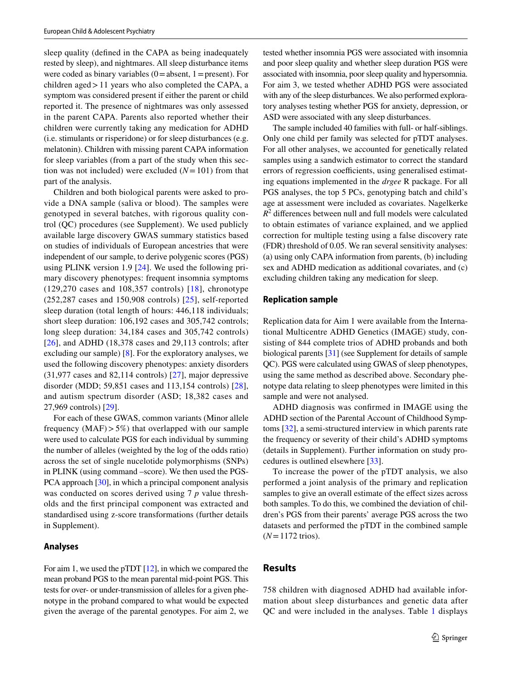sleep quality (defned in the CAPA as being inadequately rested by sleep), and nightmares. All sleep disturbance items were coded as binary variables  $(0=absent, 1=present)$ . For children aged>11 years who also completed the CAPA, a symptom was considered present if either the parent or child reported it. The presence of nightmares was only assessed in the parent CAPA. Parents also reported whether their children were currently taking any medication for ADHD (i.e. stimulants or risperidone) or for sleep disturbances (e.g. melatonin). Children with missing parent CAPA information for sleep variables (from a part of the study when this section was not included) were excluded  $(N=101)$  from that part of the analysis.

Children and both biological parents were asked to provide a DNA sample (saliva or blood). The samples were genotyped in several batches, with rigorous quality control (QC) procedures (see Supplement). We used publicly available large discovery GWAS summary statistics based on studies of individuals of European ancestries that were independent of our sample, to derive polygenic scores (PGS) using PLINK version 1.9 [\[24](#page-8-1)]. We used the following primary discovery phenotypes: frequent insomnia symptoms (129,270 cases and 108,357 controls) [\[18\]](#page-7-17), chronotype (252,287 cases and 150,908 controls) [[25](#page-8-2)], self-reported sleep duration (total length of hours: 446,118 individuals; short sleep duration: 106,192 cases and 305,742 controls; long sleep duration: 34,184 cases and 305,742 controls) [\[26\]](#page-8-3), and ADHD (18,378 cases and 29,113 controls; after excluding our sample) [[8\]](#page-7-7). For the exploratory analyses, we used the following discovery phenotypes: anxiety disorders (31,977 cases and 82,114 controls) [[27\]](#page-8-4), major depressive disorder (MDD; 59,851 cases and 113,154 controls) [[28](#page-8-5)], and autism spectrum disorder (ASD; 18,382 cases and 27,969 controls) [[29](#page-8-6)].

For each of these GWAS, common variants (Minor allele frequency  $(MAF) > 5\%$ ) that overlapped with our sample were used to calculate PGS for each individual by summing the number of alleles (weighted by the log of the odds ratio) across the set of single nucelotide polymorphisms (SNPs) in PLINK (using command –score). We then used the PGS-PCA approach [[30\]](#page-8-7), in which a principal component analysis was conducted on scores derived using 7 *p* value thresholds and the frst principal component was extracted and standardised using z-score transformations (further details in Supplement).

#### **Analyses**

For aim 1, we used the pTDT [[12\]](#page-7-11), in which we compared the mean proband PGS to the mean parental mid-point PGS. This tests for over- or under-transmission of alleles for a given phenotype in the proband compared to what would be expected given the average of the parental genotypes. For aim 2, we tested whether insomnia PGS were associated with insomnia and poor sleep quality and whether sleep duration PGS were associated with insomnia, poor sleep quality and hypersomnia. For aim 3, we tested whether ADHD PGS were associated with any of the sleep disturbances. We also performed exploratory analyses testing whether PGS for anxiety, depression, or ASD were associated with any sleep disturbances.

The sample included 40 families with full- or half-siblings. Only one child per family was selected for pTDT analyses. For all other analyses, we accounted for genetically related samples using a sandwich estimator to correct the standard errors of regression coefficients, using generalised estimating equations implemented in the *drgee* R package. For all PGS analyses, the top 5 PCs, genotyping batch and child's age at assessment were included as covariates. Nagelkerke  $R<sup>2</sup>$  differences between null and full models were calculated to obtain estimates of variance explained, and we applied correction for multiple testing using a false discovery rate (FDR) threshold of 0.05. We ran several sensitivity analyses: (a) using only CAPA information from parents, (b) including sex and ADHD medication as additional covariates, and (c) excluding children taking any medication for sleep.

## **Replication sample**

Replication data for Aim 1 were available from the International Multicentre ADHD Genetics (IMAGE) study, consisting of 844 complete trios of ADHD probands and both biological parents [[31\]](#page-8-8) (see Supplement for details of sample QC). PGS were calculated using GWAS of sleep phenotypes, using the same method as described above. Secondary phenotype data relating to sleep phenotypes were limited in this sample and were not analysed.

ADHD diagnosis was confrmed in IMAGE using the ADHD section of the Parental Account of Childhood Symptoms [\[32](#page-8-9)], a semi-structured interview in which parents rate the frequency or severity of their child's ADHD symptoms (details in Supplement). Further information on study procedures is outlined elsewhere [\[33](#page-8-10)].

To increase the power of the pTDT analysis, we also performed a joint analysis of the primary and replication samples to give an overall estimate of the effect sizes across both samples. To do this, we combined the deviation of children's PGS from their parents' average PGS across the two datasets and performed the pTDT in the combined sample (*N*=1172 trios).

## **Results**

758 children with diagnosed ADHD had available information about sleep disturbances and genetic data after QC and were included in the analyses. Table [1](#page-3-0) displays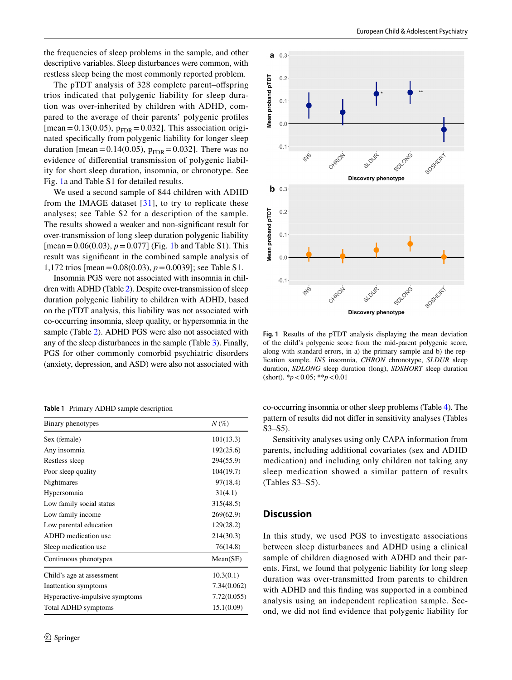the frequencies of sleep problems in the sample, and other descriptive variables. Sleep disturbances were common, with restless sleep being the most commonly reported problem.

The pTDT analysis of 328 complete parent–ofspring trios indicated that polygenic liability for sleep duration was over-inherited by children with ADHD, compared to the average of their parents' polygenic profles [mean=0.13(0.05),  $p_{\text{FDR}}$ =0.032]. This association originated specifcally from polygenic liability for longer sleep duration [mean =  $0.14(0.05)$ ,  $p_{FDR} = 0.032$ ]. There was no evidence of diferential transmission of polygenic liability for short sleep duration, insomnia, or chronotype. See Fig. [1](#page-3-1)a and Table S1 for detailed results.

We used a second sample of 844 children with ADHD from the IMAGE dataset  $[31]$  $[31]$ , to try to replicate these analyses; see Table S2 for a description of the sample. The results showed a weaker and non-signifcant result for over-transmission of long sleep duration polygenic liability  $[mean = 0.06(0.03), p = 0.077]$  (Fig. [1b](#page-3-1) and Table S1). This result was signifcant in the combined sample analysis of 1,172 trios [mean=0.08(0.03), *p*=0.0039]; see Table S1.

Insomnia PGS were not associated with insomnia in children with ADHD (Table [2\)](#page-4-0). Despite over-transmission of sleep duration polygenic liability to children with ADHD, based on the pTDT analysis, this liability was not associated with co-occurring insomnia, sleep quality, or hypersomnia in the sample (Table [2\)](#page-4-0). ADHD PGS were also not associated with any of the sleep disturbances in the sample (Table [3\)](#page-4-1). Finally, PGS for other commonly comorbid psychiatric disorders (anxiety, depression, and ASD) were also not associated with

<span id="page-3-0"></span>**Table 1** Primary ADHD sample description

| Binary phenotypes              | $N\left(\%\right)$ |
|--------------------------------|--------------------|
| Sex (female)                   | 101(13.3)          |
| Any insomnia                   | 192(25.6)          |
| Restless sleep                 | 294(55.9)          |
| Poor sleep quality             | 104(19.7)          |
| Nightmares                     | 97(18.4)           |
| Hypersomnia                    | 31(4.1)            |
| Low family social status       | 315(48.5)          |
| Low family income              | 269(62.9)          |
| Low parental education         | 129(28.2)          |
| ADHD medication use            | 214(30.3)          |
| Sleep medication use           | 76(14.8)           |
| Continuous phenotypes          | Mean(SE)           |
| Child's age at assessment      | 10.3(0.1)          |
| Inattention symptoms           | 7.34(0.062)        |
| Hyperactive-impulsive symptoms | 7.72(0.055)        |
| <b>Total ADHD</b> symptoms     | 15.1(0.09)         |



<span id="page-3-1"></span>**Fig. 1** Results of the pTDT analysis displaying the mean deviation of the child's polygenic score from the mid-parent polygenic score, along with standard errors, in a) the primary sample and b) the replication sample. *INS* insomnia, *CHRON* chronotype, *SLDUR* sleep duration, *SDLONG* sleep duration (long), *SDSHORT* sleep duration (short). \**p*<0.05; \*\**p*<0.01

co-occurring insomnia or other sleep problems (Table [4](#page-4-2)). The pattern of results did not difer in sensitivity analyses (Tables S3–S5).

Sensitivity analyses using only CAPA information from parents, including additional covariates (sex and ADHD medication) and including only children not taking any sleep medication showed a similar pattern of results (Tables S3–S5).

## **Discussion**

In this study, we used PGS to investigate associations between sleep disturbances and ADHD using a clinical sample of children diagnosed with ADHD and their parents. First, we found that polygenic liability for long sleep duration was over-transmitted from parents to children with ADHD and this fnding was supported in a combined analysis using an independent replication sample. Second, we did not fnd evidence that polygenic liability for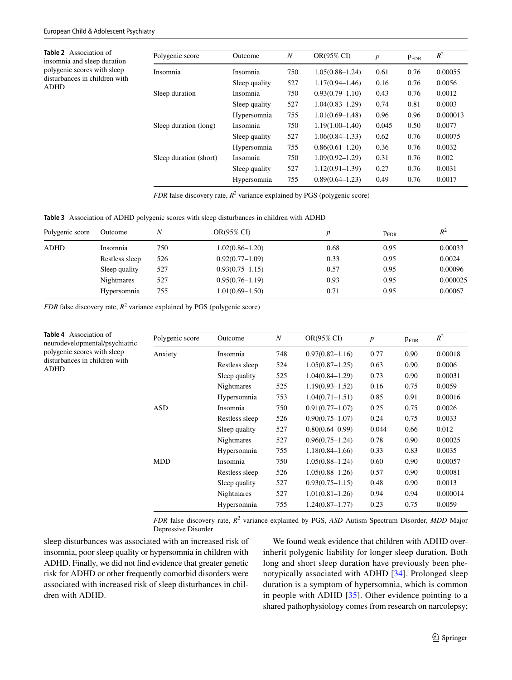<span id="page-4-0"></span>**Table 2** Association of insomnia and sleep duration polygenic scores with sleep disturbances in children with ADHD

| Polygenic score        | Outcome       | N   | OR(95% CI)          | $\boldsymbol{p}$ | $P_{\rm FDR}$ | $R^2$    |
|------------------------|---------------|-----|---------------------|------------------|---------------|----------|
| Insomnia               | Insomnia      | 750 | $1.05(0.88 - 1.24)$ | 0.61             | 0.76          | 0.00055  |
|                        | Sleep quality | 527 | $1.17(0.94 - 1.46)$ | 0.16             | 0.76          | 0.0056   |
| Sleep duration         | Insomnia      | 750 | $0.93(0.79 - 1.10)$ | 0.43             | 0.76          | 0.0012   |
|                        | Sleep quality | 527 | $1.04(0.83 - 1.29)$ | 0.74             | 0.81          | 0.0003   |
|                        | Hypersomnia   | 755 | $1.01(0.69 - 1.48)$ | 0.96             | 0.96          | 0.000013 |
| Sleep duration (long)  | Insomnia      | 750 | $1.19(1.00 - 1.40)$ | 0.045            | 0.50          | 0.0077   |
|                        | Sleep quality | 527 | $1.06(0.84 - 1.33)$ | 0.62             | 0.76          | 0.00075  |
|                        | Hypersomnia   | 755 | $0.86(0.61-1.20)$   | 0.36             | 0.76          | 0.0032   |
| Sleep duration (short) | Insomnia      | 750 | $1.09(0.92 - 1.29)$ | 0.31             | 0.76          | 0.002    |
|                        | Sleep quality | 527 | $1.12(0.91 - 1.39)$ | 0.27             | 0.76          | 0.0031   |
|                        | Hypersomnia   | 755 | $0.89(0.64 - 1.23)$ | 0.49             | 0.76          | 0.0017   |

*FDR* false discovery rate,  $R^2$  variance explained by PGS (polygenic score)

<span id="page-4-1"></span>

| Polygenic score | Outcome        | Ν   | OR(95% CI)          | $\boldsymbol{D}$ | $P_{\rm FDR}$ | $R^2$    |
|-----------------|----------------|-----|---------------------|------------------|---------------|----------|
| ADHD            | Insomnia       | 750 | $1.02(0.86 - 1.20)$ | 0.68             | 0.95          | 0.00033  |
|                 | Restless sleep | 526 | $0.92(0.77-1.09)$   | 0.33             | 0.95          | 0.0024   |
|                 | Sleep quality  | 527 | $0.93(0.75 - 1.15)$ | 0.57             | 0.95          | 0.00096  |
|                 | Nightmares     | 527 | $0.95(0.76 - 1.19)$ | 0.93             | 0.95          | 0.000025 |
|                 | Hypersomnia    | 755 | $1.01(0.69-1.50)$   | 0.71             | 0.95          | 0.00067  |

*FDR* false discovery rate,  $R^2$  variance explained by PGS (polygenic score)

<span id="page-4-2"></span>

| <b>Table 4</b> Association of<br>neurodevelopmental/psychiatric<br>polygenic scores with sleep<br>disturbances in children with<br>ADHD | Polygenic score | Outcome           | $\boldsymbol{N}$ | OR(95% CI)          | $\boldsymbol{p}$ | $P_{\text{FDR}}$ | $R^2$    |
|-----------------------------------------------------------------------------------------------------------------------------------------|-----------------|-------------------|------------------|---------------------|------------------|------------------|----------|
|                                                                                                                                         | Anxiety         | Insomnia          | 748              | $0.97(0.82 - 1.16)$ | 0.77             | 0.90             | 0.00018  |
|                                                                                                                                         |                 | Restless sleep    | 524              | $1.05(0.87-1.25)$   | 0.63             | 0.90             | 0.0006   |
|                                                                                                                                         |                 | Sleep quality     | 525              | $1.04(0.84 - 1.29)$ | 0.73             | 0.90             | 0.00031  |
|                                                                                                                                         |                 | <b>Nightmares</b> | 525              | $1.19(0.93 - 1.52)$ | 0.16             | 0.75             | 0.0059   |
|                                                                                                                                         |                 | Hypersomnia       | 753              | $1.04(0.71 - 1.51)$ | 0.85             | 0.91             | 0.00016  |
|                                                                                                                                         | <b>ASD</b>      | Insomnia          | 750              | $0.91(0.77-1.07)$   | 0.25             | 0.75             | 0.0026   |
|                                                                                                                                         |                 | Restless sleep    | 526              | $0.90(0.75 - 1.07)$ | 0.24             | 0.75             | 0.0033   |
|                                                                                                                                         |                 | Sleep quality     | 527              | $0.80(0.64 - 0.99)$ | 0.044            | 0.66             | 0.012    |
|                                                                                                                                         |                 | <b>Nightmares</b> | 527              | $0.96(0.75 - 1.24)$ | 0.78             | 0.90             | 0.00025  |
|                                                                                                                                         |                 | Hypersomnia       | 755              | $1.18(0.84 - 1.66)$ | 0.33             | 0.83             | 0.0035   |
|                                                                                                                                         | MDD             | Insomnia          | 750              | $1.05(0.88 - 1.24)$ | 0.60             | 0.90             | 0.00057  |
|                                                                                                                                         |                 | Restless sleep    | 526              | $1.05(0.88 - 1.26)$ | 0.57             | 0.90             | 0.00081  |
|                                                                                                                                         |                 | Sleep quality     | 527              | $0.93(0.75 - 1.15)$ | 0.48             | 0.90             | 0.0013   |
|                                                                                                                                         |                 | <b>Nightmares</b> | 527              | $1.01(0.81-1.26)$   | 0.94             | 0.94             | 0.000014 |
|                                                                                                                                         |                 | Hypersomnia       | 755              | $1.24(0.87-1.77)$   | 0.23             | 0.75             | 0.0059   |
|                                                                                                                                         |                 |                   |                  |                     |                  |                  |          |

*FDR* false discovery rate,  $R^2$  variance explained by PGS, *ASD* Autism Spectrum Disorder, *MDD* Major Depressive Disorder

sleep disturbances was associated with an increased risk of insomnia, poor sleep quality or hypersomnia in children with ADHD. Finally, we did not fnd evidence that greater genetic risk for ADHD or other frequently comorbid disorders were associated with increased risk of sleep disturbances in children with ADHD.

We found weak evidence that children with ADHD overinherit polygenic liability for longer sleep duration. Both long and short sleep duration have previously been phenotypically associated with ADHD [\[34\]](#page-8-11). Prolonged sleep duration is a symptom of hypersomnia, which is common in people with ADHD [\[35\]](#page-8-12). Other evidence pointing to a shared pathophysiology comes from research on narcolepsy;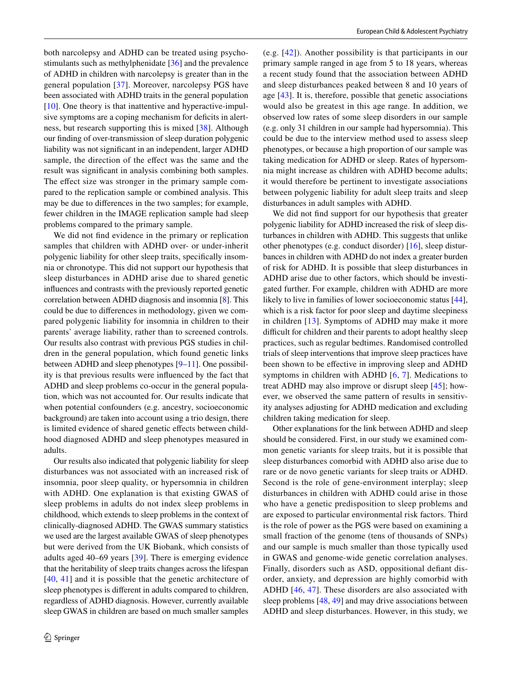both narcolepsy and ADHD can be treated using psychostimulants such as methylphenidate [[36\]](#page-8-13) and the prevalence of ADHD in children with narcolepsy is greater than in the general population [\[37\]](#page-8-14). Moreover, narcolepsy PGS have been associated with ADHD traits in the general population [\[10\]](#page-7-9). One theory is that inattentive and hyperactive-impulsive symptoms are a coping mechanism for deficits in alertness, but research supporting this is mixed [[38\]](#page-8-15). Although our fnding of over-transmission of sleep duration polygenic liability was not signifcant in an independent, larger ADHD sample, the direction of the efect was the same and the result was signifcant in analysis combining both samples. The effect size was stronger in the primary sample compared to the replication sample or combined analysis. This may be due to diferences in the two samples; for example, fewer children in the IMAGE replication sample had sleep problems compared to the primary sample.

We did not fnd evidence in the primary or replication samples that children with ADHD over- or under-inherit polygenic liability for other sleep traits, specifcally insomnia or chronotype. This did not support our hypothesis that sleep disturbances in ADHD arise due to shared genetic infuences and contrasts with the previously reported genetic correlation between ADHD diagnosis and insomnia [[8\]](#page-7-7). This could be due to diferences in methodology, given we compared polygenic liability for insomnia in children to their parents' average liability, rather than to screened controls. Our results also contrast with previous PGS studies in children in the general population, which found genetic links between ADHD and sleep phenotypes [[9–](#page-7-8)[11\]](#page-7-10). One possibility is that previous results were infuenced by the fact that ADHD and sleep problems co-occur in the general population, which was not accounted for. Our results indicate that when potential confounders (e.g. ancestry, socioeconomic background) are taken into account using a trio design, there is limited evidence of shared genetic effects between childhood diagnosed ADHD and sleep phenotypes measured in adults.

Our results also indicated that polygenic liability for sleep disturbances was not associated with an increased risk of insomnia, poor sleep quality, or hypersomnia in children with ADHD. One explanation is that existing GWAS of sleep problems in adults do not index sleep problems in childhood, which extends to sleep problems in the context of clinically-diagnosed ADHD. The GWAS summary statistics we used are the largest available GWAS of sleep phenotypes but were derived from the UK Biobank, which consists of adults aged 40–69 years [\[39\]](#page-8-16). There is emerging evidence that the heritability of sleep traits changes across the lifespan [[40,](#page-8-17) [41\]](#page-8-18) and it is possible that the genetic architecture of sleep phenotypes is diferent in adults compared to children, regardless of ADHD diagnosis. However, currently available sleep GWAS in children are based on much smaller samples (e.g. [\[42\]](#page-8-19)). Another possibility is that participants in our primary sample ranged in age from 5 to 18 years, whereas a recent study found that the association between ADHD and sleep disturbances peaked between 8 and 10 years of age [\[43\]](#page-8-20). It is, therefore, possible that genetic associations would also be greatest in this age range. In addition, we observed low rates of some sleep disorders in our sample (e.g. only 31 children in our sample had hypersomnia). This could be due to the interview method used to assess sleep phenotypes, or because a high proportion of our sample was taking medication for ADHD or sleep. Rates of hypersomnia might increase as children with ADHD become adults; it would therefore be pertinent to investigate associations between polygenic liability for adult sleep traits and sleep disturbances in adult samples with ADHD.

We did not fnd support for our hypothesis that greater polygenic liability for ADHD increased the risk of sleep disturbances in children with ADHD. This suggests that unlike other phenotypes (e.g. conduct disorder) [\[16](#page-7-15)], sleep disturbances in children with ADHD do not index a greater burden of risk for ADHD. It is possible that sleep disturbances in ADHD arise due to other factors, which should be investigated further. For example, children with ADHD are more likely to live in families of lower socioeconomic status [\[44](#page-8-21)], which is a risk factor for poor sleep and daytime sleepiness in children [[13](#page-7-12)]. Symptoms of ADHD may make it more difficult for children and their parents to adopt healthy sleep practices, such as regular bedtimes. Randomised controlled trials of sleep interventions that improve sleep practices have been shown to be efective in improving sleep and ADHD symptoms in children with ADHD  $[6, 7]$  $[6, 7]$  $[6, 7]$  $[6, 7]$ . Medications to treat ADHD may also improve or disrupt sleep [[45\]](#page-8-22); however, we observed the same pattern of results in sensitivity analyses adjusting for ADHD medication and excluding children taking medication for sleep.

Other explanations for the link between ADHD and sleep should be considered. First, in our study we examined common genetic variants for sleep traits, but it is possible that sleep disturbances comorbid with ADHD also arise due to rare or de novo genetic variants for sleep traits or ADHD. Second is the role of gene-environment interplay; sleep disturbances in children with ADHD could arise in those who have a genetic predisposition to sleep problems and are exposed to particular environmental risk factors. Third is the role of power as the PGS were based on examining a small fraction of the genome (tens of thousands of SNPs) and our sample is much smaller than those typically used in GWAS and genome-wide genetic correlation analyses. Finally, disorders such as ASD, oppositional defant disorder, anxiety, and depression are highly comorbid with ADHD [[46](#page-8-23), [47](#page-8-24)]. These disorders are also associated with sleep problems [[48,](#page-8-25) [49](#page-8-26)] and may drive associations between ADHD and sleep disturbances. However, in this study, we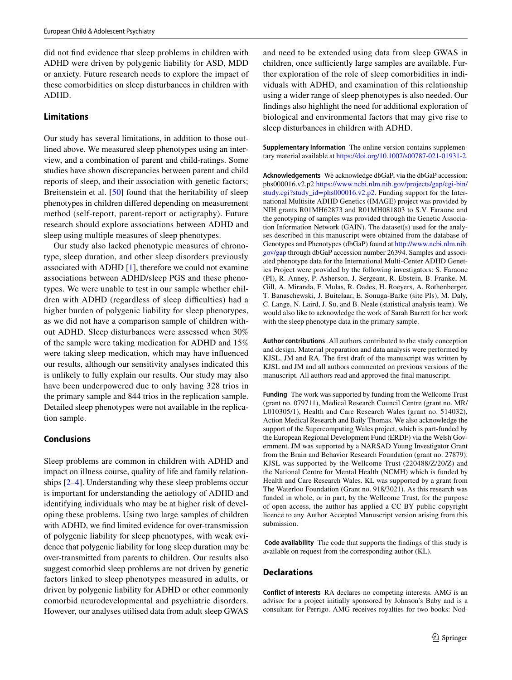did not fnd evidence that sleep problems in children with ADHD were driven by polygenic liability for ASD, MDD or anxiety. Future research needs to explore the impact of these comorbidities on sleep disturbances in children with ADHD.

## **Limitations**

Our study has several limitations, in addition to those outlined above. We measured sleep phenotypes using an interview, and a combination of parent and child-ratings. Some studies have shown discrepancies between parent and child reports of sleep, and their association with genetic factors; Breitenstein et al. [[50\]](#page-8-27) found that the heritability of sleep phenotypes in children difered depending on measurement method (self-report, parent-report or actigraphy). Future research should explore associations between ADHD and sleep using multiple measures of sleep phenotypes.

Our study also lacked phenotypic measures of chronotype, sleep duration, and other sleep disorders previously associated with ADHD [[1\]](#page-7-0), therefore we could not examine associations between ADHD/sleep PGS and these phenotypes. We were unable to test in our sample whether children with ADHD (regardless of sleep difficulties) had a higher burden of polygenic liability for sleep phenotypes, as we did not have a comparison sample of children without ADHD. Sleep disturbances were assessed when 30% of the sample were taking medication for ADHD and 15% were taking sleep medication, which may have infuenced our results, although our sensitivity analyses indicated this is unlikely to fully explain our results. Our study may also have been underpowered due to only having 328 trios in the primary sample and 844 trios in the replication sample. Detailed sleep phenotypes were not available in the replication sample.

### **Conclusions**

Sleep problems are common in children with ADHD and impact on illness course, quality of life and family relationships [\[2](#page-7-1)[–4](#page-7-3)]. Understanding why these sleep problems occur is important for understanding the aetiology of ADHD and identifying individuals who may be at higher risk of developing these problems. Using two large samples of children with ADHD, we fnd limited evidence for over-transmission of polygenic liability for sleep phenotypes, with weak evidence that polygenic liability for long sleep duration may be over-transmitted from parents to children. Our results also suggest comorbid sleep problems are not driven by genetic factors linked to sleep phenotypes measured in adults, or driven by polygenic liability for ADHD or other commonly comorbid neurodevelopmental and psychiatric disorders. However, our analyses utilised data from adult sleep GWAS

and need to be extended using data from sleep GWAS in children, once sufficiently large samples are available. Further exploration of the role of sleep comorbidities in individuals with ADHD, and examination of this relationship using a wider range of sleep phenotypes is also needed. Our fndings also highlight the need for additional exploration of biological and environmental factors that may give rise to sleep disturbances in children with ADHD.

**Supplementary Information** The online version contains supplementary material available at<https://doi.org/10.1007/s00787-021-01931-2>.

**Acknowledgements** We acknowledge dbGaP, via the dbGaP accession: phs000016.v2.p2 [https://www.ncbi.nlm.nih.gov/projects/gap/cgi-bin/](https://www.ncbi.nlm.nih.gov/projects/gap/cgi-bin/study.cgi?study_id=phs000016.v2.p2) [study.cgi?study\\_id=phs000016.v2.p2.](https://www.ncbi.nlm.nih.gov/projects/gap/cgi-bin/study.cgi?study_id=phs000016.v2.p2) Funding support for the International Multisite ADHD Genetics (IMAGE) project was provided by NIH grants R01MH62873 and R01MH081803 to S.V. Faraone and the genotyping of samples was provided through the Genetic Association Information Network (GAIN). The dataset(s) used for the analyses described in this manuscript were obtained from the database of Genotypes and Phenotypes (dbGaP) found at [http://www.ncbi.nlm.nih.](http://www.ncbi.nlm.nih.gov/gap) [gov/gap](http://www.ncbi.nlm.nih.gov/gap) through dbGaP accession number 26394. Samples and associated phenotype data for the International Multi-Center ADHD Genetics Project were provided by the following investigators: S. Faraone (PI), R. Anney, P. Asherson, J. Sergeant, R. Ebstein, B. Franke, M. Gill, A. Miranda, F. Mulas, R. Oades, H. Roeyers, A. Rothenberger, T. Banaschewski, J. Buitelaar, E. Sonuga-Barke (site PIs), M. Daly, C. Lange, N. Laird, J. Su, and B. Neale (statistical analysis team). We would also like to acknowledge the work of Sarah Barrett for her work with the sleep phenotype data in the primary sample.

**Author contributions** All authors contributed to the study conception and design. Material preparation and data analysis were performed by KJSL, JM and RA. The frst draft of the manuscript was written by KJSL and JM and all authors commented on previous versions of the manuscript. All authors read and approved the fnal manuscript.

**Funding** The work was supported by funding from the Wellcome Trust (grant no. 079711), Medical Research Council Centre (grant no. MR/ L010305/1), Health and Care Research Wales (grant no. 514032), Action Medical Research and Baily Thomas. We also acknowledge the support of the Supercomputing Wales project, which is part-funded by the European Regional Development Fund (ERDF) via the Welsh Government. JM was supported by a NARSAD Young Investigator Grant from the Brain and Behavior Research Foundation (grant no. 27879). KJSL was supported by the Wellcome Trust (220488/Z/20/Z) and the National Centre for Mental Health (NCMH) which is funded by Health and Care Research Wales. KL was supported by a grant from The Waterloo Foundation (Grant no. 918/3021). As this research was funded in whole, or in part, by the Wellcome Trust, for the purpose of open access, the author has applied a CC BY public copyright licence to any Author Accepted Manuscript version arising from this submission.

 **Code availability** The code that supports the fndings of this study is available on request from the corresponding author (KL).

### **Declarations**

**Conflict of interests** RA declares no competing interests. AMG is an advisor for a project initially sponsored by Johnson's Baby and is a consultant for Perrigo. AMG receives royalties for two books: Nod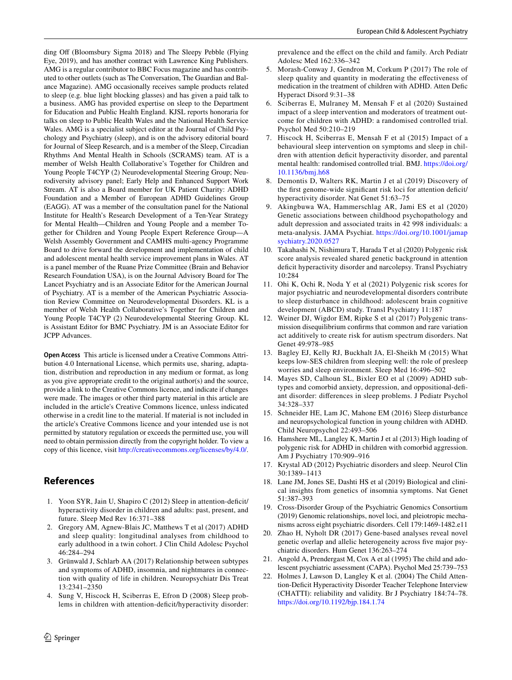ding Off (Bloomsbury Sigma 2018) and The Sleepy Pebble (Flying Eye, 2019), and has another contract with Lawrence King Publishers. AMG is a regular contributor to BBC Focus magazine and has contributed to other outlets (such as The Conversation, The Guardian and Balance Magazine). AMG occasionally receives sample products related to sleep (e.g. blue light blocking glasses) and has given a paid talk to a business. AMG has provided expertise on sleep to the Department for Education and Public Health England. KJSL reports honoraria for talks on sleep to Public Health Wales and the National Health Service Wales. AMG is a specialist subject editor at the Journal of Child Psychology and Psychiatry (sleep), and is on the advisory editorial board for Journal of Sleep Research, and is a member of the Sleep, Circadian Rhythms And Mental Health in Schools (SCRAMS) team. AT is a member of Welsh Health Collaborative's Together for Children and Young People T4CYP (2) Neurodevelopmental Steering Group; Neurodiversity advisory panel; Early Help and Enhanced Support Work Stream. AT is also a Board member for UK Patient Charity: ADHD Foundation and a Member of European ADHD Guidelines Group (EAGG). AT was a member of the consultation panel for the National Institute for Health's Research Development of a Ten-Year Strategy for Mental Health—Children and Young People and a member Together for Children and Young People Expert Reference Group—A Welsh Assembly Government and CAMHS multi-agency Programme Board to drive forward the development and implementation of child and adolescent mental health service improvement plans in Wales. AT is a panel member of the Ruane Prize Committee (Brain and Behavior Research Foundation USA), is on the Journal Advisory Board for The Lancet Psychiatry and is an Associate Editor for the American Journal

of Psychiatry. AT is a member of the American Psychiatric Association Review Committee on Neurodevelopmental Disorders. KL is a member of Welsh Health Collaborative's Together for Children and Young People T4CYP (2) Neurodevelopmental Steering Group. KL is Assistant Editor for BMC Psychiatry. JM is an Associate Editor for JCPP Advances.

**Open Access** This article is licensed under a Creative Commons Attribution 4.0 International License, which permits use, sharing, adaptation, distribution and reproduction in any medium or format, as long as you give appropriate credit to the original author(s) and the source, provide a link to the Creative Commons licence, and indicate if changes were made. The images or other third party material in this article are included in the article's Creative Commons licence, unless indicated otherwise in a credit line to the material. If material is not included in the article's Creative Commons licence and your intended use is not permitted by statutory regulation or exceeds the permitted use, you will need to obtain permission directly from the copyright holder. To view a copy of this licence, visit <http://creativecommons.org/licenses/by/4.0/>.

## **References**

- <span id="page-7-0"></span>1. Yoon SYR, Jain U, Shapiro C (2012) Sleep in attention-deficit/ hyperactivity disorder in children and adults: past, present, and future. Sleep Med Rev 16:371–388
- <span id="page-7-1"></span>2. Gregory AM, Agnew-Blais JC, Matthews T et al (2017) ADHD and sleep quality: longitudinal analyses from childhood to early adulthood in a twin cohort. J Clin Child Adolesc Psychol 46:284–294
- <span id="page-7-2"></span>3. Grünwald J, Schlarb AA (2017) Relationship between subtypes and symptoms of ADHD, insomnia, and nightmares in connection with quality of life in children. Neuropsychiatr Dis Treat 13:2341–2350
- <span id="page-7-3"></span>4. Sung V, Hiscock H, Sciberras E, Efron D (2008) Sleep problems in children with attention-defcit/hyperactivity disorder:

prevalence and the efect on the child and family. Arch Pediatr Adolesc Med 162:336–342

- <span id="page-7-4"></span>5. Morash-Conway J, Gendron M, Corkum P (2017) The role of sleep quality and quantity in moderating the effectiveness of medication in the treatment of children with ADHD. Atten Defc Hyperact Disord 9:31–38
- <span id="page-7-5"></span>6. Sciberras E, Mulraney M, Mensah F et al (2020) Sustained impact of a sleep intervention and moderators of treatment outcome for children with ADHD: a randomised controlled trial. Psychol Med 50:210–219
- <span id="page-7-6"></span>7. Hiscock H, Sciberras E, Mensah F et al (2015) Impact of a behavioural sleep intervention on symptoms and sleep in children with attention deficit hyperactivity disorder, and parental mental health: randomised controlled trial. BMJ. [https://doi.org/](https://doi.org/10.1136/bmj.h68) [10.1136/bmj.h68](https://doi.org/10.1136/bmj.h68)
- <span id="page-7-7"></span>8. Demontis D, Walters RK, Martin J et al (2019) Discovery of the first genome-wide significant risk loci for attention deficit/ hyperactivity disorder. Nat Genet 51:63–75
- <span id="page-7-8"></span>9. Akingbuwa WA, Hammerschlag AR, Jami ES et al (2020) Genetic associations between childhood psychopathology and adult depression and associated traits in 42 998 individuals: a meta-analysis. JAMA Psychiat. [https://doi.org/10.1001/jamap](https://doi.org/10.1001/jamapsychiatry.2020.0527) [sychiatry.2020.0527](https://doi.org/10.1001/jamapsychiatry.2020.0527)
- <span id="page-7-9"></span>10. Takahashi N, Nishimura T, Harada T et al (2020) Polygenic risk score analysis revealed shared genetic background in attention deficit hyperactivity disorder and narcolepsy. Transl Psychiatry 10:284
- <span id="page-7-10"></span>11. Ohi K, Ochi R, Noda Y et al (2021) Polygenic risk scores for major psychiatric and neurodevelopmental disorders contribute to sleep disturbance in childhood: adolescent brain cognitive development (ABCD) study. Transl Psychiatry 11:187
- <span id="page-7-11"></span>12. Weiner DJ, Wigdor EM, Ripke S et al (2017) Polygenic transmission disequilibrium confrms that common and rare variation act additively to create risk for autism spectrum disorders. Nat Genet 49:978–985
- <span id="page-7-12"></span>13. Bagley EJ, Kelly RJ, Buckhalt JA, El-Sheikh M (2015) What keeps low-SES children from sleeping well: the role of presleep worries and sleep environment. Sleep Med 16:496–502
- <span id="page-7-13"></span>14. Mayes SD, Calhoun SL, Bixler EO et al (2009) ADHD subtypes and comorbid anxiety, depression, and oppositional-defant disorder: diferences in sleep problems. J Pediatr Psychol 34:328–337
- <span id="page-7-14"></span>15. Schneider HE, Lam JC, Mahone EM (2016) Sleep disturbance and neuropsychological function in young children with ADHD. Child Neuropsychol 22:493–506
- <span id="page-7-15"></span>16. Hamshere ML, Langley K, Martin J et al (2013) High loading of polygenic risk for ADHD in children with comorbid aggression. Am J Psychiatry 170:909–916
- <span id="page-7-16"></span>17. Krystal AD (2012) Psychiatric disorders and sleep. Neurol Clin 30:1389–1413
- <span id="page-7-17"></span>18. Lane JM, Jones SE, Dashti HS et al (2019) Biological and clinical insights from genetics of insomnia symptoms. Nat Genet 51:387–393
- <span id="page-7-18"></span>19. Cross-Disorder Group of the Psychiatric Genomics Consortium (2019) Genomic relationships, novel loci, and pleiotropic mechanisms across eight psychiatric disorders. Cell 179:1469-1482.e11
- <span id="page-7-19"></span>20. Zhao H, Nyholt DR (2017) Gene-based analyses reveal novel genetic overlap and allelic heterogeneity across fve major psychiatric disorders. Hum Genet 136:263–274
- <span id="page-7-20"></span>21. Angold A, Prendergast M, Cox A et al (1995) The child and adolescent psychiatric assessment (CAPA). Psychol Med 25:739–753
- <span id="page-7-21"></span>22. Holmes J, Lawson D, Langley K et al. (2004) The Child Attention-Deficit Hyperactivity Disorder Teacher Telephone Interview (CHATTI): reliability and validity. Br J Psychiatry 184:74–78. <https://doi.org/10.1192/bjp.184.1.74>